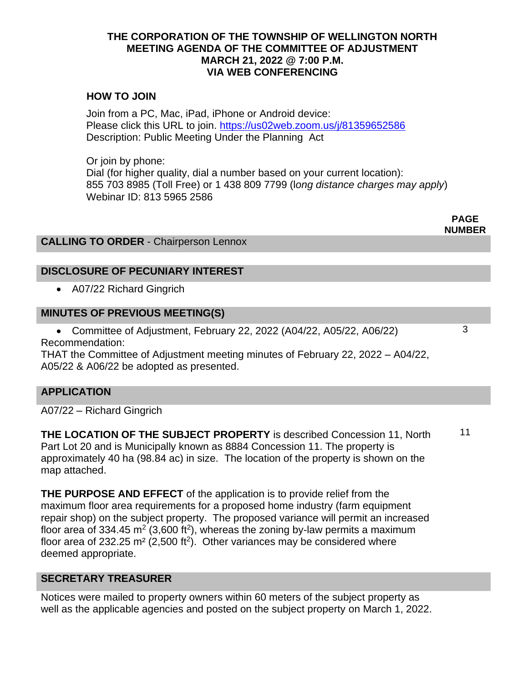#### **THE CORPORATION OF THE TOWNSHIP OF WELLINGTON NORTH MEETING AGENDA OF THE COMMITTEE OF ADJUSTMENT MARCH 21, 2022 @ 7:00 P.M. VIA WEB CONFERENCING**

## **HOW TO JOIN**

Join from a PC, Mac, iPad, iPhone or Android device: Please click this URL to join.<https://us02web.zoom.us/j/81359652586> Description: Public Meeting Under the Planning Act

Or join by phone: Dial (for higher quality, dial a number based on your current location): 855 703 8985 (Toll Free) or 1 438 809 7799 (l*ong distance charges may apply*) Webinar ID: 813 5965 2586

> **PAGE NUMBER**

> > 3

### **CALLING TO ORDER** - Chairperson Lennox

## **DISCLOSURE OF PECUNIARY INTEREST**

• A07/22 Richard Gingrich

### **MINUTES OF PREVIOUS MEETING(S)**

• Committee of Adjustment, February 22, 2022 (A04/22, A05/22, A06/22) Recommendation:

THAT the Committee of Adjustment meeting minutes of February 22, 2022 – A04/22, A05/22 & A06/22 be adopted as presented.

#### **APPLICATION**

A07/22 – Richard Gingrich

**THE LOCATION OF THE SUBJECT PROPERTY** is described Concession 11, North Part Lot 20 and is Municipally known as 8884 Concession 11. The property is approximately 40 ha (98.84 ac) in size. The location of the property is shown on the map attached. 11

**THE PURPOSE AND EFFECT** of the application is to provide relief from the maximum floor area requirements for a proposed home industry (farm equipment repair shop) on the subject property. The proposed variance will permit an increased floor area of 334.45 m<sup>2</sup> (3,600 ft<sup>2</sup>), whereas the zoning by-law permits a maximum floor area of 232.25 m<sup>2</sup> (2,500 ft<sup>2</sup>). Other variances may be considered where deemed appropriate.

#### **SECRETARY TREASURER**

Notices were mailed to property owners within 60 meters of the subject property as well as the applicable agencies and posted on the subject property on March 1, 2022.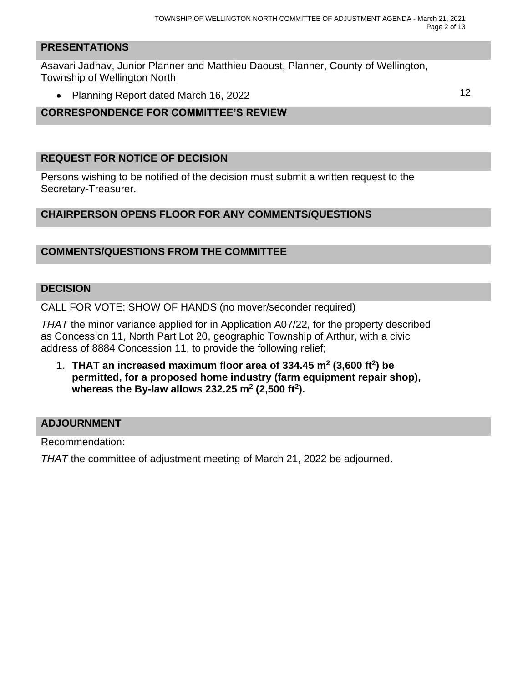#### **PRESENTATIONS**

Asavari Jadhav, Junior Planner and Matthieu Daoust, Planner, County of Wellington, Township of Wellington North

• Planning Report dated March 16, 2022 12

## **CORRESPONDENCE FOR COMMITTEE'S REVIEW**

#### **REQUEST FOR NOTICE OF DECISION**

Persons wishing to be notified of the decision must submit a written request to the Secretary-Treasurer.

#### **CHAIRPERSON OPENS FLOOR FOR ANY COMMENTS/QUESTIONS**

### **COMMENTS/QUESTIONS FROM THE COMMITTEE**

#### **DECISION**

CALL FOR VOTE: SHOW OF HANDS (no mover/seconder required)

*THAT* the minor variance applied for in Application A07/22, for the property described as Concession 11, North Part Lot 20, geographic Township of Arthur, with a civic address of 8884 Concession 11, to provide the following relief;

1. **THAT an increased maximum floor area of 334.45 m<sup>2</sup> (3,600 ft<sup>2</sup> ) be permitted, for a proposed home industry (farm equipment repair shop), whereas the By-law allows 232.25 m<sup>2</sup> (2,500 ft<sup>2</sup> ).**

#### **ADJOURNMENT**

Recommendation:

*THAT* the committee of adjustment meeting of March 21, 2022 be adjourned.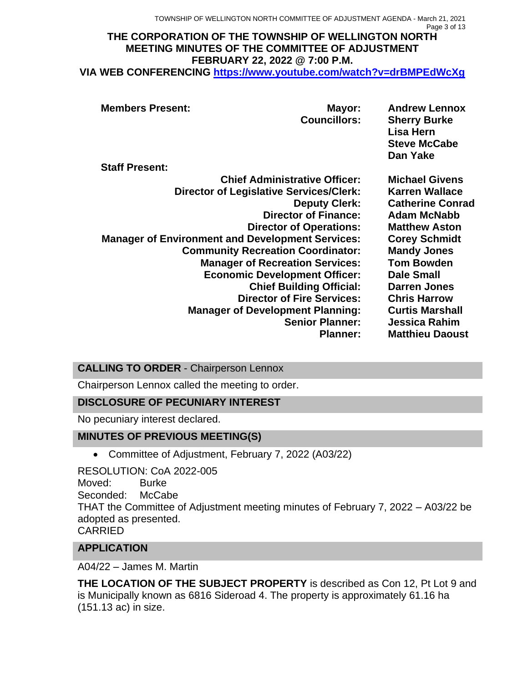TOWNSHIP OF WELLINGTON NORTH COMMITTEE OF ADJUSTMENT AGENDA - March 21, 2021 Page 3 of 13

#### **THE CORPORATION OF THE TOWNSHIP OF WELLINGTON NORTH MEETING MINUTES OF THE COMMITTEE OF ADJUSTMENT FEBRUARY 22, 2022 @ 7:00 P.M. VIA WEB CONFERENCING <https://www.youtube.com/watch?v=drBMPEdWcXg>**

| <b>Members Present:</b><br>Mayor:<br><b>Councillors:</b><br><b>Staff Present:</b> | <b>Andrew Lennox</b><br><b>Sherry Burke</b><br>Lisa Hern<br><b>Steve McCabe</b><br>Dan Yake |
|-----------------------------------------------------------------------------------|---------------------------------------------------------------------------------------------|
|                                                                                   |                                                                                             |
| <b>Chief Administrative Officer:</b>                                              | <b>Michael Givens</b>                                                                       |
| <b>Director of Legislative Services/Clerk:</b>                                    | <b>Karren Wallace</b>                                                                       |
| <b>Deputy Clerk:</b>                                                              | <b>Catherine Conrad</b>                                                                     |
| <b>Director of Finance:</b>                                                       | <b>Adam McNabb</b>                                                                          |
| <b>Director of Operations:</b>                                                    | <b>Matthew Aston</b>                                                                        |
| <b>Manager of Environment and Development Services:</b>                           | <b>Corey Schmidt</b>                                                                        |
| <b>Community Recreation Coordinator:</b>                                          | <b>Mandy Jones</b>                                                                          |
| <b>Manager of Recreation Services:</b>                                            | <b>Tom Bowden</b>                                                                           |
| <b>Economic Development Officer:</b>                                              | <b>Dale Small</b>                                                                           |
| <b>Chief Building Official:</b>                                                   | <b>Darren Jones</b>                                                                         |
| <b>Director of Fire Services:</b>                                                 | <b>Chris Harrow</b>                                                                         |
| <b>Manager of Development Planning:</b>                                           | <b>Curtis Marshall</b>                                                                      |
| <b>Senior Planner:</b>                                                            | Jessica Rahim                                                                               |
| <b>Planner:</b>                                                                   | <b>Matthieu Daoust</b>                                                                      |

## **CALLING TO ORDER** - Chairperson Lennox

Chairperson Lennox called the meeting to order.

## **DISCLOSURE OF PECUNIARY INTEREST**

No pecuniary interest declared.

## **MINUTES OF PREVIOUS MEETING(S)**

• Committee of Adjustment, February 7, 2022 (A03/22)

RESOLUTION: CoA 2022-005 Moved: Burke Seconded: McCabe THAT the Committee of Adjustment meeting minutes of February 7, 2022 – A03/22 be adopted as presented. CARRIED

## **APPLICATION**

A04/22 – James M. Martin

**THE LOCATION OF THE SUBJECT PROPERTY** is described as Con 12, Pt Lot 9 and is Municipally known as 6816 Sideroad 4. The property is approximately 61.16 ha (151.13 ac) in size.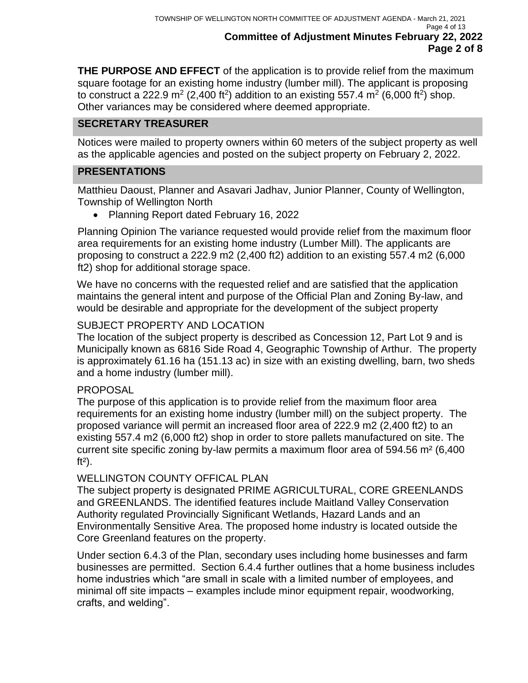**THE PURPOSE AND EFFECT** of the application is to provide relief from the maximum square footage for an existing home industry (lumber mill). The applicant is proposing to construct a 222.9 m<sup>2</sup> (2,400 ft<sup>2</sup>) addition to an existing 557.4 m<sup>2</sup> (6,000 ft<sup>2</sup>) shop. Other variances may be considered where deemed appropriate.

## **SECRETARY TREASURER**

Notices were mailed to property owners within 60 meters of the subject property as well as the applicable agencies and posted on the subject property on February 2, 2022.

### **PRESENTATIONS**

Matthieu Daoust, Planner and Asavari Jadhav, Junior Planner, County of Wellington, Township of Wellington North

• Planning Report dated February 16, 2022

Planning Opinion The variance requested would provide relief from the maximum floor area requirements for an existing home industry (Lumber Mill). The applicants are proposing to construct a 222.9 m2 (2,400 ft2) addition to an existing 557.4 m2 (6,000 ft2) shop for additional storage space.

We have no concerns with the requested relief and are satisfied that the application maintains the general intent and purpose of the Official Plan and Zoning By-law, and would be desirable and appropriate for the development of the subject property

#### SUBJECT PROPERTY AND LOCATION

The location of the subject property is described as Concession 12, Part Lot 9 and is Municipally known as 6816 Side Road 4, Geographic Township of Arthur. The property is approximately 61.16 ha (151.13 ac) in size with an existing dwelling, barn, two sheds and a home industry (lumber mill).

#### PROPOSAL

The purpose of this application is to provide relief from the maximum floor area requirements for an existing home industry (lumber mill) on the subject property. The proposed variance will permit an increased floor area of 222.9 m2 (2,400 ft2) to an existing 557.4 m2 (6,000 ft2) shop in order to store pallets manufactured on site. The current site specific zoning by-law permits a maximum floor area of 594.56  $m^2$  (6,400  $ft<sup>2</sup>$ ).

#### WELLINGTON COUNTY OFFICAL PLAN

The subject property is designated PRIME AGRICULTURAL, CORE GREENLANDS and GREENLANDS. The identified features include Maitland Valley Conservation Authority regulated Provincially Significant Wetlands, Hazard Lands and an Environmentally Sensitive Area. The proposed home industry is located outside the Core Greenland features on the property.

Under section 6.4.3 of the Plan, secondary uses including home businesses and farm businesses are permitted. Section 6.4.4 further outlines that a home business includes home industries which "are small in scale with a limited number of employees, and minimal off site impacts – examples include minor equipment repair, woodworking, crafts, and welding".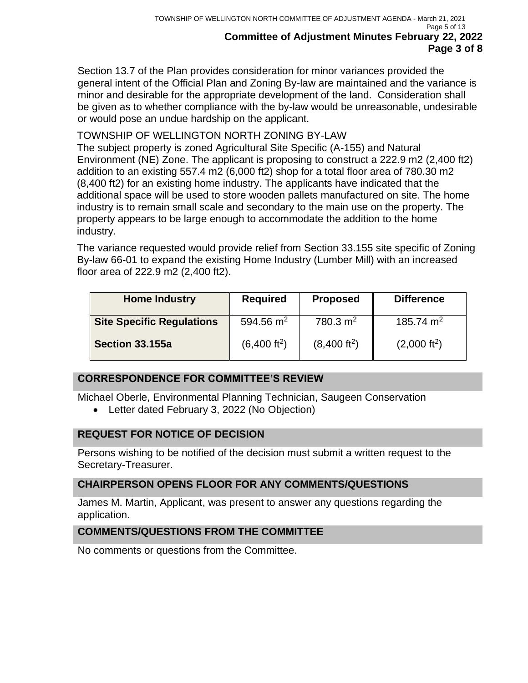Section 13.7 of the Plan provides consideration for minor variances provided the general intent of the Official Plan and Zoning By-law are maintained and the variance is minor and desirable for the appropriate development of the land. Consideration shall be given as to whether compliance with the by-law would be unreasonable, undesirable or would pose an undue hardship on the applicant.

## TOWNSHIP OF WELLINGTON NORTH ZONING BY-LAW

The subject property is zoned Agricultural Site Specific (A-155) and Natural Environment (NE) Zone. The applicant is proposing to construct a 222.9 m2 (2,400 ft2) addition to an existing 557.4 m2 (6,000 ft2) shop for a total floor area of 780.30 m2 (8,400 ft2) for an existing home industry. The applicants have indicated that the additional space will be used to store wooden pallets manufactured on site. The home industry is to remain small scale and secondary to the main use on the property. The property appears to be large enough to accommodate the addition to the home industry.

The variance requested would provide relief from Section 33.155 site specific of Zoning By-law 66-01 to expand the existing Home Industry (Lumber Mill) with an increased floor area of 222.9 m2 (2,400 ft2).

| <b>Home Industry</b>             | <b>Required</b>          | <b>Proposed</b>          | <b>Difference</b>      |
|----------------------------------|--------------------------|--------------------------|------------------------|
| <b>Site Specific Regulations</b> | 594.56 $m2$              | $780.3 \text{ m}^2$      | 185.74 m <sup>2</sup>  |
| <b>Section 33.155a</b>           | (6,400 ft <sup>2</sup> ) | (8,400 ft <sup>2</sup> ) | $(2,000 \text{ ft}^2)$ |

## **CORRESPONDENCE FOR COMMITTEE'S REVIEW**

Michael Oberle, Environmental Planning Technician, Saugeen Conservation

• Letter dated February 3, 2022 (No Objection)

## **REQUEST FOR NOTICE OF DECISION**

Persons wishing to be notified of the decision must submit a written request to the Secretary-Treasurer.

## **CHAIRPERSON OPENS FLOOR FOR ANY COMMENTS/QUESTIONS**

James M. Martin, Applicant, was present to answer any questions regarding the application.

## **COMMENTS/QUESTIONS FROM THE COMMITTEE**

No comments or questions from the Committee.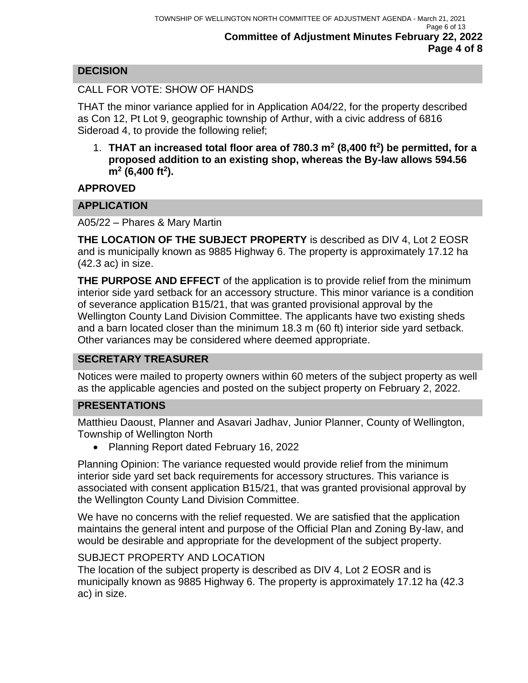## **DECISION**

## CALL FOR VOTE: SHOW OF HANDS

THAT the minor variance applied for in Application A04/22, for the property described as Con 12, Pt Lot 9, geographic township of Arthur, with a civic address of 6816 Sideroad 4, to provide the following relief;

1. **THAT an increased total floor area of 780.3 m<sup>2</sup> (8,400 ft<sup>2</sup> ) be permitted, for a proposed addition to an existing shop, whereas the By-law allows 594.56 m<sup>2</sup> (6,400 ft<sup>2</sup> ).**

**APPROVED**

## **APPLICATION**

A05/22 – Phares & Mary Martin

**THE LOCATION OF THE SUBJECT PROPERTY** is described as DIV 4, Lot 2 EOSR and is municipally known as 9885 Highway 6. The property is approximately 17.12 ha (42.3 ac) in size.

**THE PURPOSE AND EFFECT** of the application is to provide relief from the minimum interior side yard setback for an accessory structure. This minor variance is a condition of severance application B15/21, that was granted provisional approval by the Wellington County Land Division Committee. The applicants have two existing sheds and a barn located closer than the minimum 18.3 m (60 ft) interior side yard setback. Other variances may be considered where deemed appropriate.

## **SECRETARY TREASURER**

Notices were mailed to property owners within 60 meters of the subject property as well as the applicable agencies and posted on the subject property on February 2, 2022.

#### **PRESENTATIONS**

Matthieu Daoust, Planner and Asavari Jadhav, Junior Planner, County of Wellington, Township of Wellington North

• Planning Report dated February 16, 2022

Planning Opinion: The variance requested would provide relief from the minimum interior side yard set back requirements for accessory structures. This variance is associated with consent application B15/21, that was granted provisional approval by the Wellington County Land Division Committee.

We have no concerns with the relief requested. We are satisfied that the application maintains the general intent and purpose of the Official Plan and Zoning By-law, and would be desirable and appropriate for the development of the subject property.

#### SUBJECT PROPERTY AND LOCATION

The location of the subject property is described as DIV 4, Lot 2 EOSR and is municipally known as 9885 Highway 6. The property is approximately 17.12 ha (42.3 ac) in size.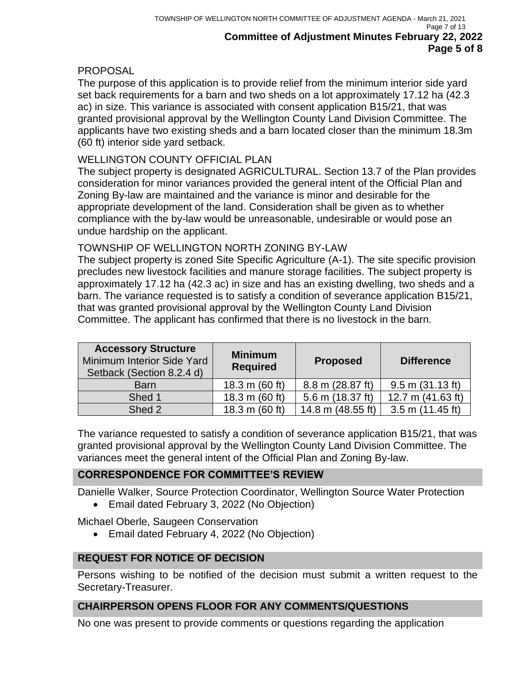## **PROPOSAL**

The purpose of this application is to provide relief from the minimum interior side yard set back requirements for a barn and two sheds on a lot approximately 17.12 ha (42.3 ac) in size. This variance is associated with consent application B15/21, that was granted provisional approval by the Wellington County Land Division Committee. The applicants have two existing sheds and a barn located closer than the minimum 18.3m (60 ft) interior side yard setback.

### WELLINGTON COUNTY OFFICIAL PLAN

The subject property is designated AGRICULTURAL. Section 13.7 of the Plan provides consideration for minor variances provided the general intent of the Official Plan and Zoning By-law are maintained and the variance is minor and desirable for the appropriate development of the land. Consideration shall be given as to whether compliance with the by-law would be unreasonable, undesirable or would pose an undue hardship on the applicant.

### TOWNSHIP OF WELLINGTON NORTH ZONING BY-LAW

The subject property is zoned Site Specific Agriculture (A-1). The site specific provision precludes new livestock facilities and manure storage facilities. The subject property is approximately 17.12 ha (42.3 ac) in size and has an existing dwelling, two sheds and a barn. The variance requested is to satisfy a condition of severance application B15/21, that was granted provisional approval by the Wellington County Land Division Committee. The applicant has confirmed that there is no livestock in the barn.

| <b>Accessory Structure</b><br>Minimum Interior Side Yard<br>Setback (Section 8.2.4 d) | <b>Minimum</b><br><b>Required</b> | <b>Proposed</b>   | <b>Difference</b>    |
|---------------------------------------------------------------------------------------|-----------------------------------|-------------------|----------------------|
| <b>Barn</b>                                                                           | 18.3 m $(60 ft)$                  | 8.8 m (28.87 ft)  | $9.5$ m $(31.13$ ft) |
| Shed 1                                                                                | 18.3 m (60 ft)                    | 5.6 m (18.37 ft)  | 12.7 m (41.63 ft)    |
| Shed 2                                                                                | 18.3 m (60 ft)                    | 14.8 m (48.55 ft) | $3.5$ m (11.45 ft)   |

The variance requested to satisfy a condition of severance application B15/21, that was granted provisional approval by the Wellington County Land Division Committee. The variances meet the general intent of the Official Plan and Zoning By-law.

## **CORRESPONDENCE FOR COMMITTEE'S REVIEW**

Danielle Walker, Source Protection Coordinator, Wellington Source Water Protection

• Email dated February 3, 2022 (No Objection)

Michael Oberle, Saugeen Conservation

• Email dated February 4, 2022 (No Objection)

## **REQUEST FOR NOTICE OF DECISION**

Persons wishing to be notified of the decision must submit a written request to the Secretary-Treasurer.

#### **CHAIRPERSON OPENS FLOOR FOR ANY COMMENTS/QUESTIONS**

No one was present to provide comments or questions regarding the application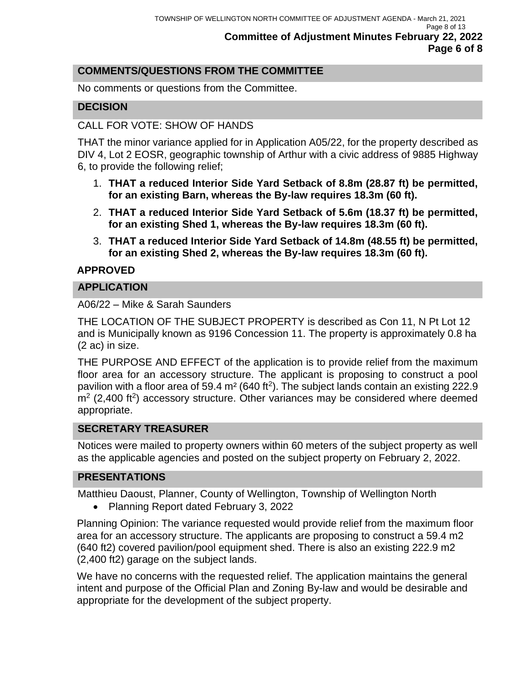## **COMMENTS/QUESTIONS FROM THE COMMITTEE**

No comments or questions from the Committee.

## **DECISION**

### CALL FOR VOTE: SHOW OF HANDS

THAT the minor variance applied for in Application A05/22, for the property described as DIV 4, Lot 2 EOSR, geographic township of Arthur with a civic address of 9885 Highway 6, to provide the following relief;

- 1. **THAT a reduced Interior Side Yard Setback of 8.8m (28.87 ft) be permitted, for an existing Barn, whereas the By-law requires 18.3m (60 ft).**
- 2. **THAT a reduced Interior Side Yard Setback of 5.6m (18.37 ft) be permitted, for an existing Shed 1, whereas the By-law requires 18.3m (60 ft).**
- 3. **THAT a reduced Interior Side Yard Setback of 14.8m (48.55 ft) be permitted, for an existing Shed 2, whereas the By-law requires 18.3m (60 ft).**

### **APPROVED**

### **APPLICATION**

A06/22 – Mike & Sarah Saunders

THE LOCATION OF THE SUBJECT PROPERTY is described as Con 11, N Pt Lot 12 and is Municipally known as 9196 Concession 11. The property is approximately 0.8 ha (2 ac) in size.

THE PURPOSE AND EFFECT of the application is to provide relief from the maximum floor area for an accessory structure. The applicant is proposing to construct a pool pavilion with a floor area of 59.4  $m<sup>2</sup>$  (640 ft<sup>2</sup>). The subject lands contain an existing 222.9  $m<sup>2</sup>$  (2,400 ft<sup>2</sup>) accessory structure. Other variances may be considered where deemed appropriate.

#### **SECRETARY TREASURER**

Notices were mailed to property owners within 60 meters of the subject property as well as the applicable agencies and posted on the subject property on February 2, 2022.

## **PRESENTATIONS**

Matthieu Daoust, Planner, County of Wellington, Township of Wellington North

• Planning Report dated February 3, 2022

Planning Opinion: The variance requested would provide relief from the maximum floor area for an accessory structure. The applicants are proposing to construct a 59.4 m2 (640 ft2) covered pavilion/pool equipment shed. There is also an existing 222.9 m2 (2,400 ft2) garage on the subject lands.

We have no concerns with the requested relief. The application maintains the general intent and purpose of the Official Plan and Zoning By-law and would be desirable and appropriate for the development of the subject property.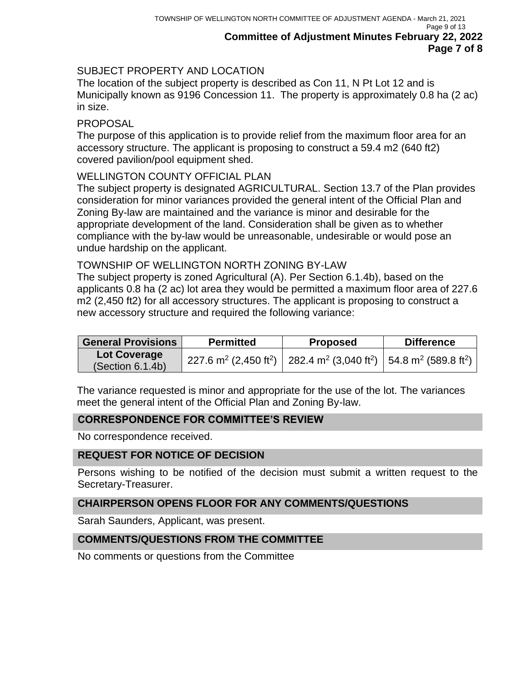## SUBJECT PROPERTY AND LOCATION

The location of the subject property is described as Con 11, N Pt Lot 12 and is Municipally known as 9196 Concession 11. The property is approximately 0.8 ha (2 ac) in size.

#### PROPOSAL

The purpose of this application is to provide relief from the maximum floor area for an accessory structure. The applicant is proposing to construct a 59.4 m2 (640 ft2) covered pavilion/pool equipment shed.

#### WELLINGTON COUNTY OFFICIAL PLAN

The subject property is designated AGRICULTURAL. Section 13.7 of the Plan provides consideration for minor variances provided the general intent of the Official Plan and Zoning By-law are maintained and the variance is minor and desirable for the appropriate development of the land. Consideration shall be given as to whether compliance with the by-law would be unreasonable, undesirable or would pose an undue hardship on the applicant.

#### TOWNSHIP OF WELLINGTON NORTH ZONING BY-LAW

The subject property is zoned Agricultural (A). Per Section 6.1.4b), based on the applicants 0.8 ha (2 ac) lot area they would be permitted a maximum floor area of 227.6 m2 (2,450 ft2) for all accessory structures. The applicant is proposing to construct a new accessory structure and required the following variance:

| <b>General Provisions</b>               | <b>Permitted</b>                              | <b>Proposed</b>                                                                              | <b>Difference</b> |
|-----------------------------------------|-----------------------------------------------|----------------------------------------------------------------------------------------------|-------------------|
| <b>Lot Coverage</b><br>(Section 6.1.4b) | 227.6 m <sup>2</sup> (2,450 ft <sup>2</sup> ) | 282.4 m <sup>2</sup> (3,040 ft <sup>2</sup> )   54.8 m <sup>2</sup> (589.8 ft <sup>2</sup> ) |                   |

The variance requested is minor and appropriate for the use of the lot. The variances meet the general intent of the Official Plan and Zoning By-law.

## **CORRESPONDENCE FOR COMMITTEE'S REVIEW**

No correspondence received.

#### **REQUEST FOR NOTICE OF DECISION**

Persons wishing to be notified of the decision must submit a written request to the Secretary-Treasurer.

#### **CHAIRPERSON OPENS FLOOR FOR ANY COMMENTS/QUESTIONS**

Sarah Saunders, Applicant, was present.

#### **COMMENTS/QUESTIONS FROM THE COMMITTEE**

No comments or questions from the Committee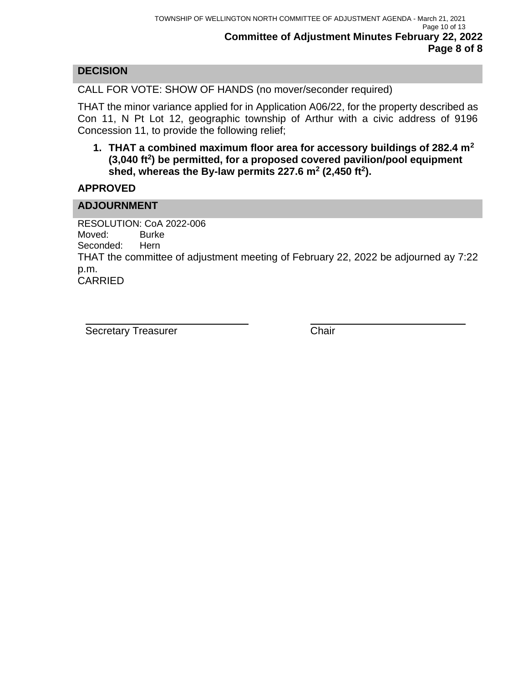## **DECISION**

CALL FOR VOTE: SHOW OF HANDS (no mover/seconder required)

THAT the minor variance applied for in Application A06/22, for the property described as Con 11, N Pt Lot 12, geographic township of Arthur with a civic address of 9196 Concession 11, to provide the following relief;

**1. THAT a combined maximum floor area for accessory buildings of 282.4 m<sup>2</sup> (3,040 ft<sup>2</sup> ) be permitted, for a proposed covered pavilion/pool equipment shed, whereas the By-law permits 227.6 m<sup>2</sup> (2,450 ft<sup>2</sup> ).**

### **APPROVED**

### **ADJOURNMENT**

RESOLUTION: CoA 2022-006 Moved: Burke Seconded: Hern THAT the committee of adjustment meeting of February 22, 2022 be adjourned ay 7:22 p.m. CARRIED

Secretary Treasurer Chair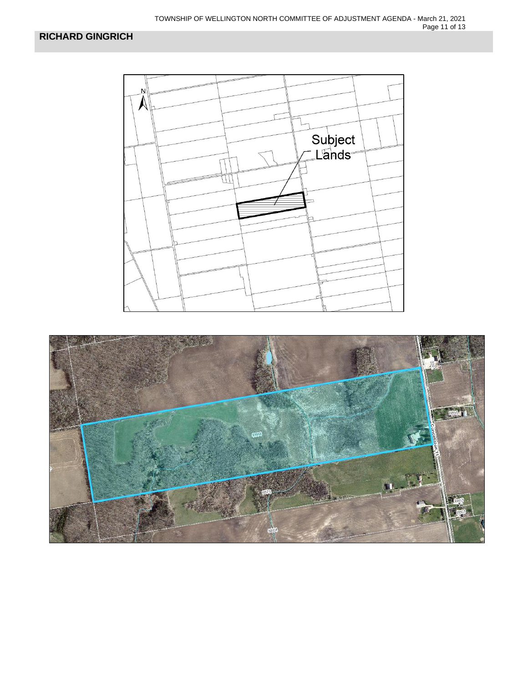

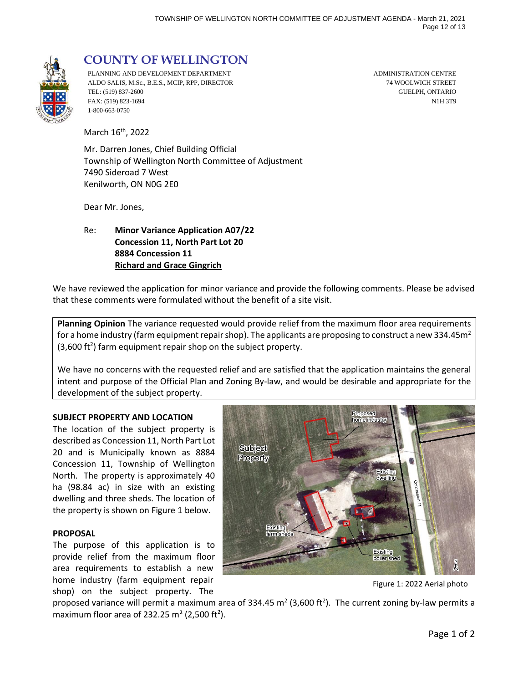

# **COUNTY OF WELLINGTON**

PLANNING AND DEVELOPMENT DEPARTMENT ADMINISTRATION CENTRE ALDO SALIS, M.Sc., B.E.S., MCIP, RPP, DIRECTOR 74 WOOLWICH STREET TEL: (519) 837-2600 GUELPH, ONTARIO FAX: (519) 823-1694 N1H 3T9 1-800-663-0750

March 16<sup>th</sup>, 2022

Mr. Darren Jones, Chief Building Official Township of Wellington North Committee of Adjustment 7490 Sideroad 7 West Kenilworth, ON N0G 2E0

Dear Mr. Jones,

Re: **Minor Variance Application A07/22 Concession 11, North Part Lot 20 8884 Concession 11 Richard and Grace Gingrich**

We have reviewed the application for minor variance and provide the following comments. Please be advised that these comments were formulated without the benefit of a site visit.

**Planning Opinion** The variance requested would provide relief from the maximum floor area requirements for a home industry (farm equipment repair shop). The applicants are proposing to construct a new 334.45m<sup>2</sup>  $(3,600 \text{ ft}^2)$  farm equipment repair shop on the subject property.

We have no concerns with the requested relief and are satisfied that the application maintains the general intent and purpose of the Official Plan and Zoning By-law, and would be desirable and appropriate for the development of the subject property.

#### **SUBJECT PROPERTY AND LOCATION**

The location of the subject property is described as Concession 11, North Part Lot 20 and is Municipally known as 8884 Concession 11, Township of Wellington North. The property is approximately 40 ha (98.84 ac) in size with an existing dwelling and three sheds. The location of the property is shown on Figure 1 below.

#### **PROPOSAL**

The purpose of this application is to provide relief from the maximum floor area requirements to establish a new home industry (farm equipment repair shop) on the subject property. The



Figure 1: 2022 Aerial photo

proposed variance will permit a maximum area of 334.45 m<sup>2</sup> (3,600 ft<sup>2</sup>). The current zoning by-law permits a maximum floor area of 232.25 m<sup>2</sup> (2,500 ft<sup>2</sup>).